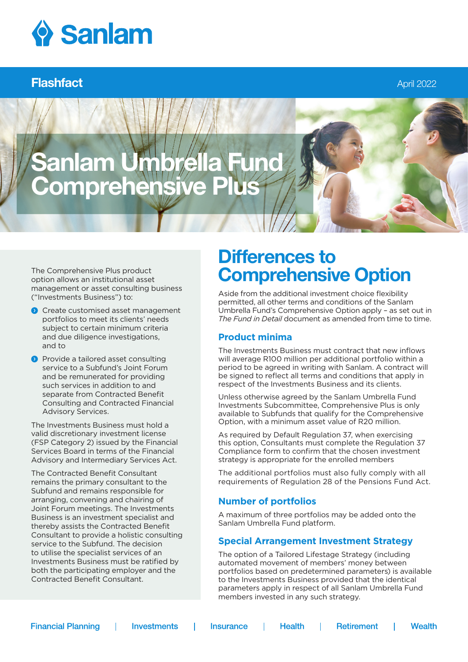

### Flashfact April 2022

# anlam Umbre omprehen

The Comprehensive Plus product option allows an institutional asset management or asset consulting business ("Investments Business") to:

- **O** Create customised asset management portfolios to meet its clients' needs subject to certain minimum criteria and due diligence investigations, and to
- **Provide a tailored asset consulting** service to a Subfund's Joint Forum and be remunerated for providing such services in addition to and separate from Contracted Benefit Consulting and Contracted Financial Advisory Services.

The Investments Business must hold a valid discretionary investment license (FSP Category 2) issued by the Financial Services Board in terms of the Financial Advisory and Intermediary Services Act.

The Contracted Benefit Consultant remains the primary consultant to the Subfund and remains responsible for arranging, convening and chairing of Joint Forum meetings. The Investments Business is an investment specialist and thereby assists the Contracted Benefit Consultant to provide a holistic consulting service to the Subfund. The decision to utilise the specialist services of an Investments Business must be ratified by both the participating employer and the Contracted Benefit Consultant.

## Differences to Comprehensive Option

Aside from the additional investment choice flexibility permitted, all other terms and conditions of the Sanlam Umbrella Fund's Comprehensive Option apply – as set out in *The Fund in Detail* document as amended from time to time.

#### **Product minima**

The Investments Business must contract that new inflows will average R100 million per additional portfolio within a period to be agreed in writing with Sanlam. A contract will be signed to reflect all terms and conditions that apply in respect of the Investments Business and its clients.

Unless otherwise agreed by the Sanlam Umbrella Fund Investments Subcommittee, Comprehensive Plus is only available to Subfunds that qualify for the Comprehensive Option, with a minimum asset value of R20 million.

As required by Default Regulation 37, when exercising this option, Consultants must complete the Regulation 37 Compliance form to confirm that the chosen investment strategy is appropriate for the enrolled members

The additional portfolios must also fully comply with all requirements of Regulation 28 of the Pensions Fund Act.

#### **Number of portfolios**

A maximum of three portfolios may be added onto the Sanlam Umbrella Fund platform.

#### **Special Arrangement Investment Strategy**

The option of a Tailored Lifestage Strategy (including automated movement of members' money between portfolios based on predetermined parameters) is available to the Investments Business provided that the identical parameters apply in respect of all Sanlam Umbrella Fund members invested in any such strategy.

**Financial Planning** 

**Investments** 

**Insurance** 

**Health** -1